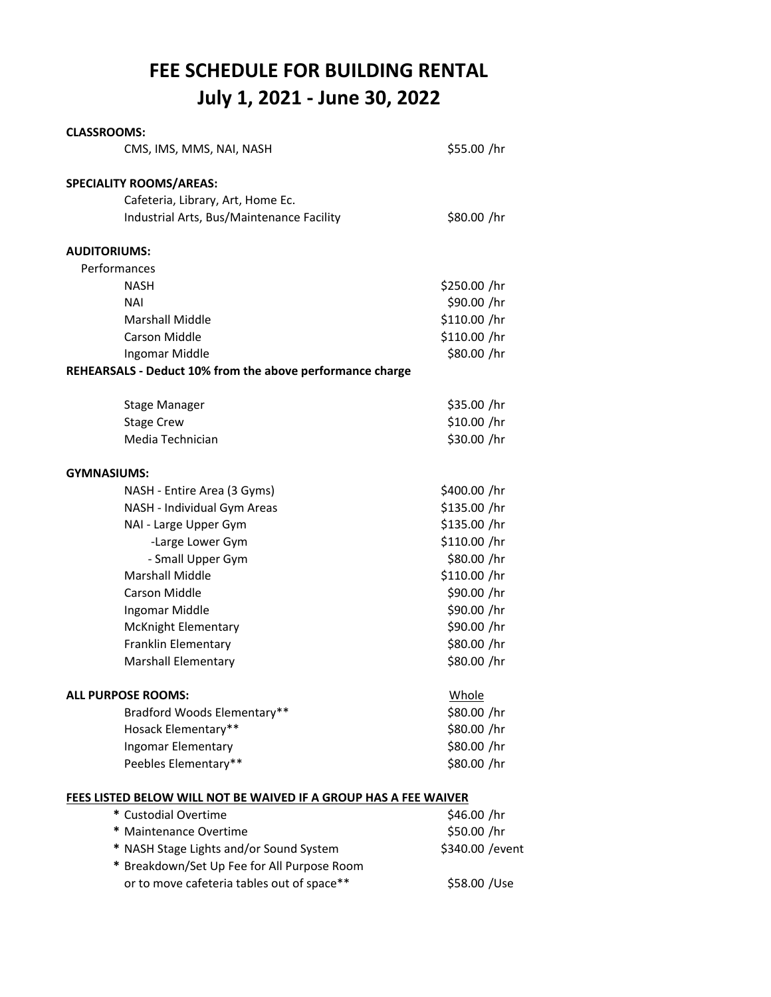## **FEE SCHEDULE FOR BUILDING RENTAL July 1, 2021 ‐ June 30, 2022**

| <b>CLASSROOMS:</b>                                               |                  |
|------------------------------------------------------------------|------------------|
| CMS, IMS, MMS, NAI, NASH                                         | \$55.00 /hr      |
| <b>SPECIALITY ROOMS/AREAS:</b>                                   |                  |
| Cafeteria, Library, Art, Home Ec.                                |                  |
| Industrial Arts, Bus/Maintenance Facility                        | \$80.00 /hr      |
| <b>AUDITORIUMS:</b>                                              |                  |
| Performances                                                     |                  |
| <b>NASH</b>                                                      | \$250.00 /hr     |
| <b>NAI</b>                                                       | \$90.00 /hr      |
| <b>Marshall Middle</b>                                           | \$110.00 /hr     |
| <b>Carson Middle</b>                                             | \$110.00 /hr     |
| Ingomar Middle                                                   | \$80.00 /hr      |
| REHEARSALS - Deduct 10% from the above performance charge        |                  |
| <b>Stage Manager</b>                                             | \$35.00 /hr      |
| <b>Stage Crew</b>                                                | \$10.00 /hr      |
| Media Technician                                                 | \$30.00 /hr      |
| <b>GYMNASIUMS:</b>                                               |                  |
| NASH - Entire Area (3 Gyms)                                      | \$400.00 /hr     |
| NASH - Individual Gym Areas                                      | \$135.00 /hr     |
| NAI - Large Upper Gym                                            | \$135.00 /hr     |
| -Large Lower Gym                                                 | \$110.00 /hr     |
| - Small Upper Gym                                                | \$80.00 /hr      |
| <b>Marshall Middle</b>                                           | \$110.00 /hr     |
| Carson Middle                                                    | \$90.00 /hr      |
| Ingomar Middle                                                   | \$90.00 /hr      |
| <b>McKnight Elementary</b>                                       | \$90.00 /hr      |
| Franklin Elementary                                              | \$80.00 /hr      |
| <b>Marshall Elementary</b>                                       | \$80.00 /hr      |
| ALL PURPOSE ROOMS:                                               | Whole            |
| Bradford Woods Elementary**                                      | \$80.00 /hr      |
| Hosack Elementary**                                              | \$80.00 /hr      |
| Ingomar Elementary                                               | \$80.00 /hr      |
| Peebles Elementary**                                             | \$80.00 /hr      |
| FEES LISTED BELOW WILL NOT BE WAIVED IF A GROUP HAS A FEE WAIVER |                  |
| * Custodial Overtime                                             | \$46.00 /hr      |
| * Maintenance Overtime                                           | \$50.00 /hr      |
| * NASH Stage Lights and/or Sound System                          | \$340.00 / event |
| * Breakdown/Set Up Fee for All Purpose Room                      |                  |
| or to move cafeteria tables out of space**                       | \$58.00 / Use    |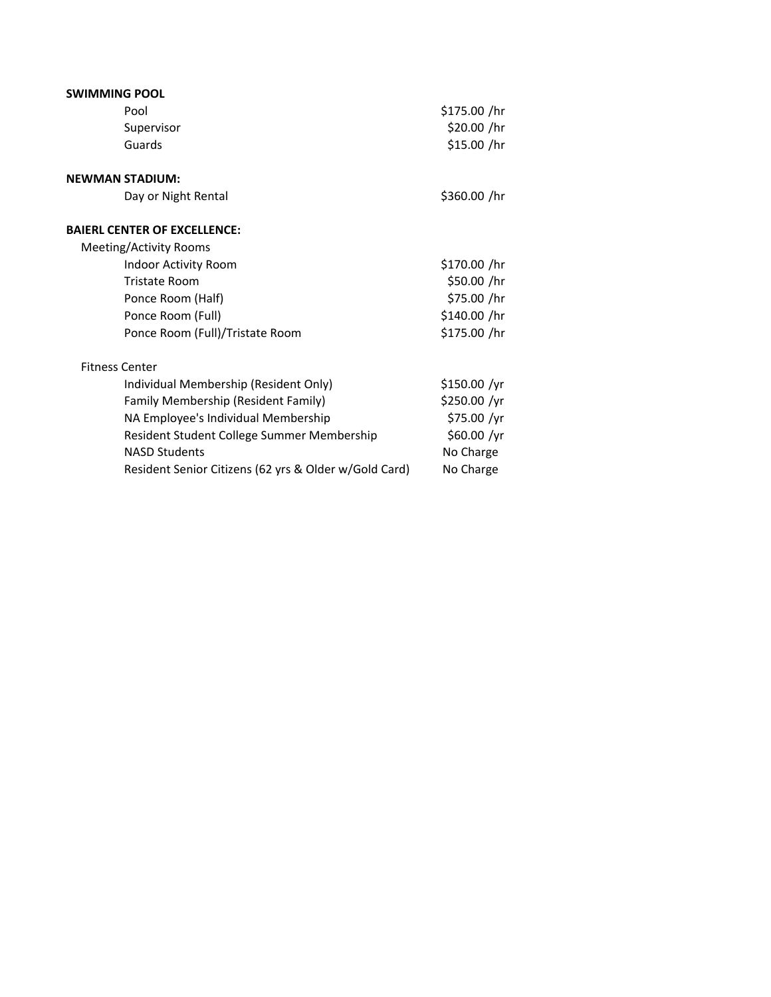| <b>SWIMMING POOL</b>                                  |              |
|-------------------------------------------------------|--------------|
| Pool                                                  | \$175.00 /hr |
| Supervisor                                            | \$20.00 /hr  |
| Guards                                                | \$15.00 /hr  |
| <b>NEWMAN STADIUM:</b>                                |              |
| Day or Night Rental                                   | \$360.00 /hr |
| <b>BAIERL CENTER OF EXCELLENCE:</b>                   |              |
| Meeting/Activity Rooms                                |              |
| Indoor Activity Room                                  | \$170.00 /hr |
| <b>Tristate Room</b>                                  | \$50.00 /hr  |
| Ponce Room (Half)                                     | \$75.00 /hr  |
| Ponce Room (Full)                                     | \$140.00 /hr |
| Ponce Room (Full)/Tristate Room                       | \$175.00 /hr |
| <b>Fitness Center</b>                                 |              |
| Individual Membership (Resident Only)                 | \$150.00 /yr |
| Family Membership (Resident Family)                   | \$250.00 /yr |
| NA Employee's Individual Membership                   | \$75.00 /yr  |
| Resident Student College Summer Membership            | \$60.00 /yr  |
| <b>NASD Students</b>                                  | No Charge    |
| Resident Senior Citizens (62 yrs & Older w/Gold Card) | No Charge    |